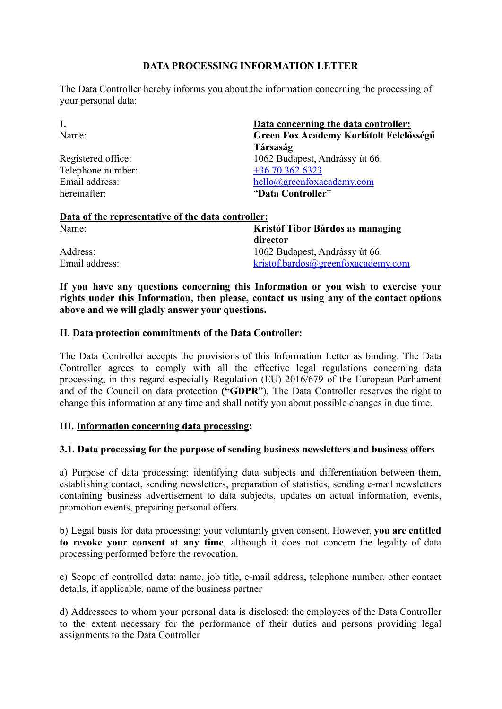# **DATA PROCESSING INFORMATION LETTER**

The Data Controller hereby informs you about the information concerning the processing of your personal data:

| Data concerning the data controller:    |
|-----------------------------------------|
| Green Fox Academy Korlátolt Felelősségű |
| Társaság                                |
| 1062 Budapest, Andrássy út 66.          |
| $+36703626323$                          |
| hello@greenfoxacademy.com               |
| "Data Controller"                       |
|                                         |

| Data of the representative of the data controller: |                                    |  |
|----------------------------------------------------|------------------------------------|--|
| Name:                                              | Kristóf Tibor Bárdos as managing   |  |
|                                                    | director                           |  |
| Address:                                           | 1062 Budapest, Andrássy út 66.     |  |
| Email address:                                     | kristof.bardos@greenfoxacademy.com |  |

**If you have any questions concerning this Information or you wish to exercise your rights under this Information, then please, contact us using any of the contact options above and we will gladly answer your questions.**

### **II. Data protection commitments of the Data Controller:**

The Data Controller accepts the provisions of this Information Letter as binding. The Data Controller agrees to comply with all the effective legal regulations concerning data processing, in this regard especially Regulation (EU) 2016/679 of the European Parliament and of the Council on data protection **("GDPR**"). The Data Controller reserves the right to change this information at any time and shall notify you about possible changes in due time.

### **III. Information concerning data processing:**

## **3.1. Data processing for the purpose of sending business newsletters and business offers**

a) Purpose of data processing: identifying data subjects and differentiation between them, establishing contact, sending newsletters, preparation of statistics, sending e-mail newsletters containing business advertisement to data subjects, updates on actual information, events, promotion events, preparing personal offers.

b) Legal basis for data processing: your voluntarily given consent. However, **you are entitled to revoke your consent at any time**, although it does not concern the legality of data processing performed before the revocation.

c) Scope of controlled data: name, job title, e-mail address, telephone number, other contact details, if applicable, name of the business partner

d) Addressees to whom your personal data is disclosed: the employees of the Data Controller to the extent necessary for the performance of their duties and persons providing legal assignments to the Data Controller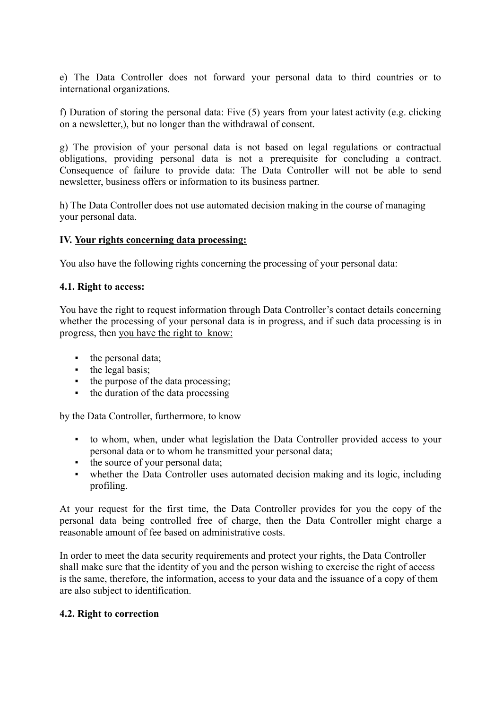e) The Data Controller does not forward your personal data to third countries or to international organizations.

f) Duration of storing the personal data: Five (5) years from your latest activity (e.g. clicking on a newsletter,), but no longer than the withdrawal of consent.

g) The provision of your personal data is not based on legal regulations or contractual obligations, providing personal data is not a prerequisite for concluding a contract. Consequence of failure to provide data: The Data Controller will not be able to send newsletter, business offers or information to its business partner.

h) The Data Controller does not use automated decision making in the course of managing your personal data.

### **IV. Your rights concerning data processing:**

You also have the following rights concerning the processing of your personal data:

### **4.1. Right to access:**

You have the right to request information through Data Controller's contact details concerning whether the processing of your personal data is in progress, and if such data processing is in progress, then you have the right to know:

- the personal data;
- the legal basis;
- the purpose of the data processing;
- the duration of the data processing

by the Data Controller, furthermore, to know

- to whom, when, under what legislation the Data Controller provided access to your personal data or to whom he transmitted your personal data;
- the source of your personal data;
- whether the Data Controller uses automated decision making and its logic, including profiling.

At your request for the first time, the Data Controller provides for you the copy of the personal data being controlled free of charge, then the Data Controller might charge a reasonable amount of fee based on administrative costs.

In order to meet the data security requirements and protect your rights, the Data Controller shall make sure that the identity of you and the person wishing to exercise the right of access is the same, therefore, the information, access to your data and the issuance of a copy of them are also subject to identification.

### **4.2. Right to correction**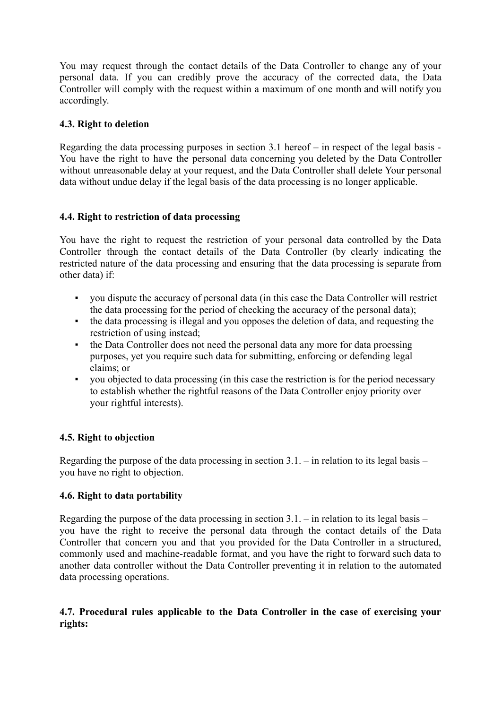You may request through the contact details of the Data Controller to change any of your personal data. If you can credibly prove the accuracy of the corrected data, the Data Controller will comply with the request within a maximum of one month and will notify you accordingly.

# **4.3. Right to deletion**

Regarding the data processing purposes in section 3.1 hereof – in respect of the legal basis - You have the right to have the personal data concerning you deleted by the Data Controller without unreasonable delay at your request, and the Data Controller shall delete Your personal data without undue delay if the legal basis of the data processing is no longer applicable.

# **4.4. Right to restriction of data processing**

You have the right to request the restriction of your personal data controlled by the Data Controller through the contact details of the Data Controller (by clearly indicating the restricted nature of the data processing and ensuring that the data processing is separate from other data) if:

- you dispute the accuracy of personal data (in this case the Data Controller will restrict the data processing for the period of checking the accuracy of the personal data);
- the data processing is illegal and you opposes the deletion of data, and requesting the restriction of using instead;
- the Data Controller does not need the personal data any more for data proessing purposes, yet you require such data for submitting, enforcing or defending legal claims; or
- you objected to data processing (in this case the restriction is for the period necessary to establish whether the rightful reasons of the Data Controller enjoy priority over your rightful interests).

## **4.5. Right to objection**

Regarding the purpose of the data processing in section  $3.1$ . – in relation to its legal basis – you have no right to objection.

# **4.6. Right to data portability**

Regarding the purpose of the data processing in section 3.1. – in relation to its legal basis – you have the right to receive the personal data through the contact details of the Data Controller that concern you and that you provided for the Data Controller in a structured, commonly used and machine-readable format, and you have the right to forward such data to another data controller without the Data Controller preventing it in relation to the automated data processing operations.

# **4.7. Procedural rules applicable to the Data Controller in the case of exercising your rights:**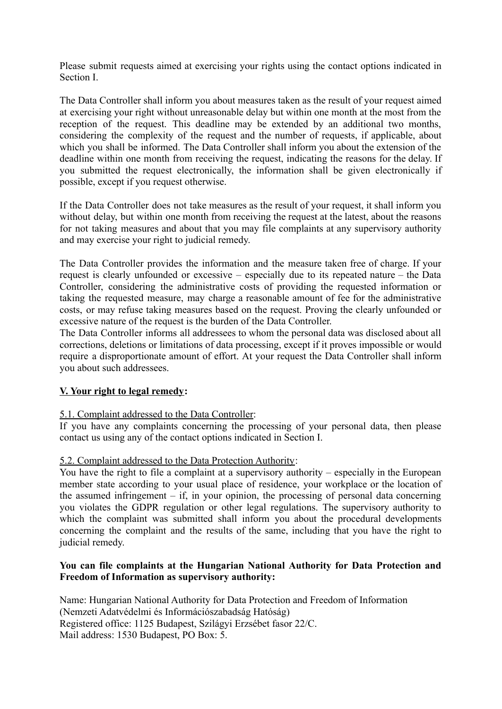Please submit requests aimed at exercising your rights using the contact options indicated in Section I.

The Data Controller shall inform you about measures taken as the result of your request aimed at exercising your right without unreasonable delay but within one month at the most from the reception of the request. This deadline may be extended by an additional two months, considering the complexity of the request and the number of requests, if applicable, about which you shall be informed. The Data Controller shall inform you about the extension of the deadline within one month from receiving the request, indicating the reasons for the delay. If you submitted the request electronically, the information shall be given electronically if possible, except if you request otherwise.

If the Data Controller does not take measures as the result of your request, it shall inform you without delay, but within one month from receiving the request at the latest, about the reasons for not taking measures and about that you may file complaints at any supervisory authority and may exercise your right to judicial remedy.

The Data Controller provides the information and the measure taken free of charge. If your request is clearly unfounded or excessive – especially due to its repeated nature – the Data Controller, considering the administrative costs of providing the requested information or taking the requested measure, may charge a reasonable amount of fee for the administrative costs, or may refuse taking measures based on the request. Proving the clearly unfounded or excessive nature of the request is the burden of the Data Controller.

The Data Controller informs all addressees to whom the personal data was disclosed about all corrections, deletions or limitations of data processing, except if it proves impossible or would require a disproportionate amount of effort. At your request the Data Controller shall inform you about such addressees.

## **V. Your right to legal remedy:**

## 5.1. Complaint addressed to the Data Controller:

If you have any complaints concerning the processing of your personal data, then please contact us using any of the contact options indicated in Section I.

## 5.2. Complaint addressed to the Data Protection Authority:

You have the right to file a complaint at a supervisory authority – especially in the European member state according to your usual place of residence, your workplace or the location of the assumed infringement – if, in your opinion, the processing of personal data concerning you violates the GDPR regulation or other legal regulations. The supervisory authority to which the complaint was submitted shall inform you about the procedural developments concerning the complaint and the results of the same, including that you have the right to judicial remedy.

### **You can file complaints at the Hungarian National Authority for Data Protection and Freedom of Information as supervisory authority:**

Name: Hungarian National Authority for Data Protection and Freedom of Information (Nemzeti Adatvédelmi és Információszabadság Hatóság) Registered office: 1125 Budapest, Szilágyi Erzsébet fasor 22/C. Mail address: 1530 Budapest, PO Box: 5.